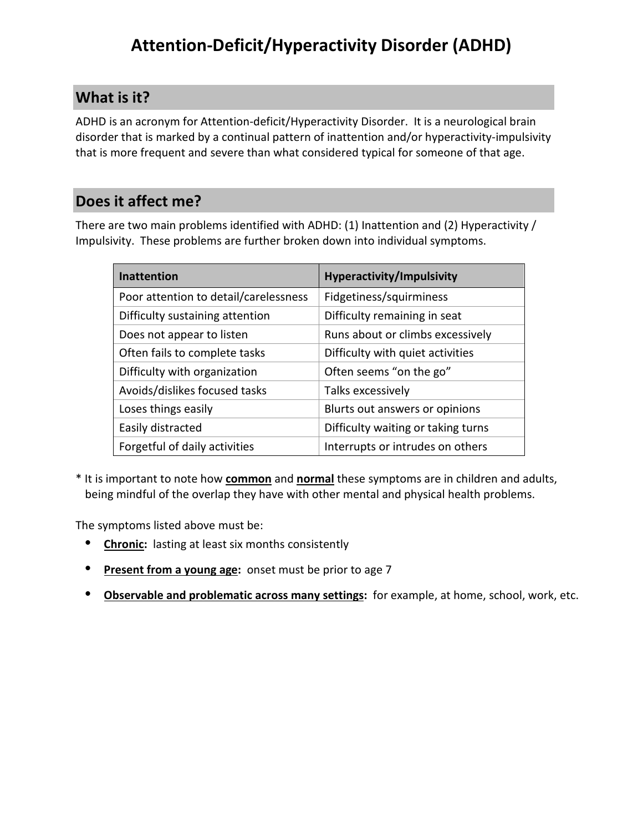## **What is it?**

ADHD is an acronym for Attention-deficit/Hyperactivity Disorder. It is a neurological brain disorder that is marked by a continual pattern of inattention and/or hyperactivity-impulsivity that is more frequent and severe than what considered typical for someone of that age.

## **Does it affect me?**

There are two main problems identified with ADHD: (1) Inattention and (2) Hyperactivity / Impulsivity. These problems are further broken down into individual symptoms.

| <b>Inattention</b>                    | <b>Hyperactivity/Impulsivity</b>   |
|---------------------------------------|------------------------------------|
| Poor attention to detail/carelessness | Fidgetiness/squirminess            |
| Difficulty sustaining attention       | Difficulty remaining in seat       |
| Does not appear to listen             | Runs about or climbs excessively   |
| Often fails to complete tasks         | Difficulty with quiet activities   |
| Difficulty with organization          | Often seems "on the go"            |
| Avoids/dislikes focused tasks         | Talks excessively                  |
| Loses things easily                   | Blurts out answers or opinions     |
| Easily distracted                     | Difficulty waiting or taking turns |
| Forgetful of daily activities         | Interrupts or intrudes on others   |

\* It is important to note how **common** and **normal** these symptoms are in children and adults, being mindful of the overlap they have with other mental and physical health problems.

The symptoms listed above must be:

- **Chronic:** lasting at least six months consistently
- **Present from a young age:** onset must be prior to age 7
- **Observable and problematic across many settings:** for example, at home, school, work, etc.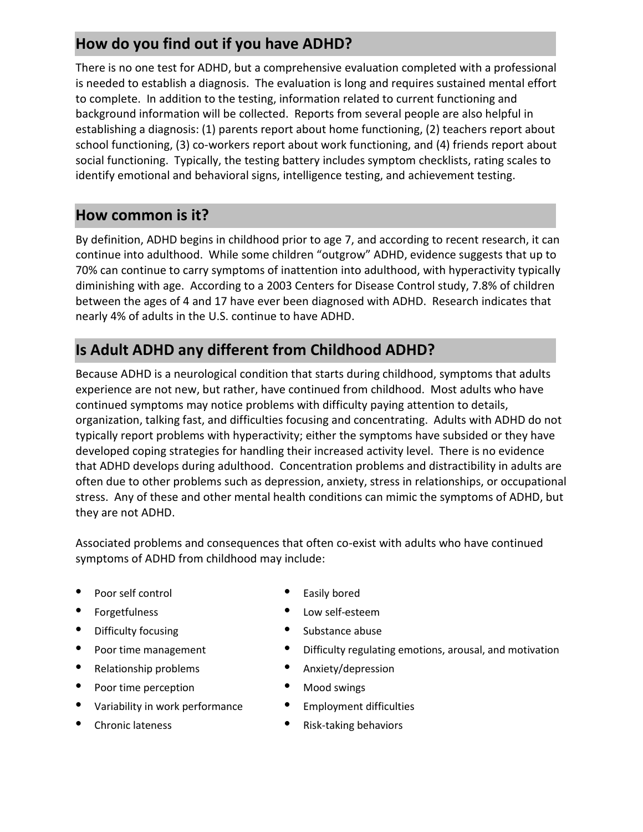# **How do you find out if you have ADHD?**

There is no one test for ADHD, but a comprehensive evaluation completed with a professional is needed to establish a diagnosis. The evaluation is long and requires sustained mental effort to complete. In addition to the testing, information related to current functioning and background information will be collected. Reports from several people are also helpful in establishing a diagnosis: (1) parents report about home functioning, (2) teachers report about school functioning, (3) co-workers report about work functioning, and (4) friends report about social functioning. Typically, the testing battery includes symptom checklists, rating scales to identify emotional and behavioral signs, intelligence testing, and achievement testing.

## **How common is it?**

By definition, ADHD begins in childhood prior to age 7, and according to recent research, it can continue into adulthood. While some children "outgrow" ADHD, evidence suggests that up to 70% can continue to carry symptoms of inattention into adulthood, with hyperactivity typically diminishing with age. According to a 2003 Centers for Disease Control study, 7.8% of children between the ages of 4 and 17 have ever been diagnosed with ADHD. Research indicates that nearly 4% of adults in the U.S. continue to have ADHD.

## **Is Adult ADHD any different from Childhood ADHD?**

Because ADHD is a neurological condition that starts during childhood, symptoms that adults experience are not new, but rather, have continued from childhood. Most adults who have continued symptoms may notice problems with difficulty paying attention to details, organization, talking fast, and difficulties focusing and concentrating. Adults with ADHD do not typically report problems with hyperactivity; either the symptoms have subsided or they have developed coping strategies for handling their increased activity level. There is no evidence that ADHD develops during adulthood. Concentration problems and distractibility in adults are often due to other problems such as depression, anxiety, stress in relationships, or occupational stress. Any of these and other mental health conditions can mimic the symptoms of ADHD, but they are not ADHD.

Associated problems and consequences that often co-exist with adults who have continued symptoms of ADHD from childhood may include:

- Poor self control **•** Easily bored
- 
- Difficulty focusing example abuse busing the Substance abuse
- 
- 
- Poor time perception Mood swings
- Variability in work performance Employment difficulties
- 
- 
- Forgetfulness Low self-esteem
	-
- **Poor time management** Difficulty regulating emotions, arousal, and motivation
- Relationship problems Anxiety/depression
	-
	-
- **Chronic lateness Risk-taking behaviors**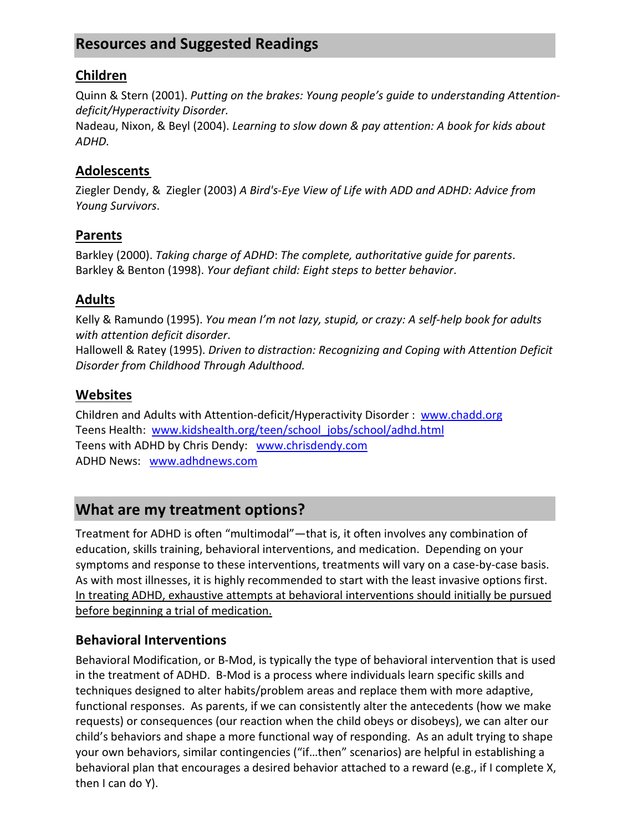## **Resources and Suggested Readings**

#### **Children**

Quinn & Stern (2001). *Putting on the brakes: Young people's guide to understanding Attentiondeficit/Hyperactivity Disorder.*

Nadeau, Nixon, & Beyl (2004). *Learning to slow down & pay attention: A book for kids about ADHD.*

#### **Adolescents**

Ziegler Dendy, & Ziegler (2003) *A Bird's-Eye View of Life with ADD and ADHD: Advice from Young Survivors*.

#### **Parents**

Barkley (2000). *Taking charge of ADHD*: *The complete, authoritative guide for parents*. Barkley & Benton (1998). *Your defiant child: Eight steps to better behavior*.

#### **Adults**

Kelly & Ramundo (1995). *You mean I'm not lazy, stupid, or crazy: A self-help book for adults with attention deficit disorder*.

Hallowell & Ratey (1995). *Driven to distraction: Recognizing and Coping with Attention Deficit Disorder from Childhood Through Adulthood.*

#### **Websites**

Children and Adults with Attention-deficit/Hyperactivity Disorder : www.chadd.org Teens Health: www.kidshealth.org/teen/school\_jobs/school/adhd.html Teens with ADHD by Chris Dendy: www.chrisdendy.com ADHD News: www.adhdnews.com

### **What are my treatment options?**

Treatment for ADHD is often "multimodal"—that is, it often involves any combination of education, skills training, behavioral interventions, and medication. Depending on your symptoms and response to these interventions, treatments will vary on a case-by-case basis. As with most illnesses, it is highly recommended to start with the least invasive options first. In treating ADHD, exhaustive attempts at behavioral interventions should initially be pursued before beginning a trial of medication.

#### **Behavioral Interventions**

Behavioral Modification, or B-Mod, is typically the type of behavioral intervention that is used in the treatment of ADHD. B-Mod is a process where individuals learn specific skills and techniques designed to alter habits/problem areas and replace them with more adaptive, functional responses. As parents, if we can consistently alter the antecedents (how we make requests) or consequences (our reaction when the child obeys or disobeys), we can alter our child's behaviors and shape a more functional way of responding. As an adult trying to shape your own behaviors, similar contingencies ("if…then" scenarios) are helpful in establishing a behavioral plan that encourages a desired behavior attached to a reward (e.g., if I complete X, then I can do Y).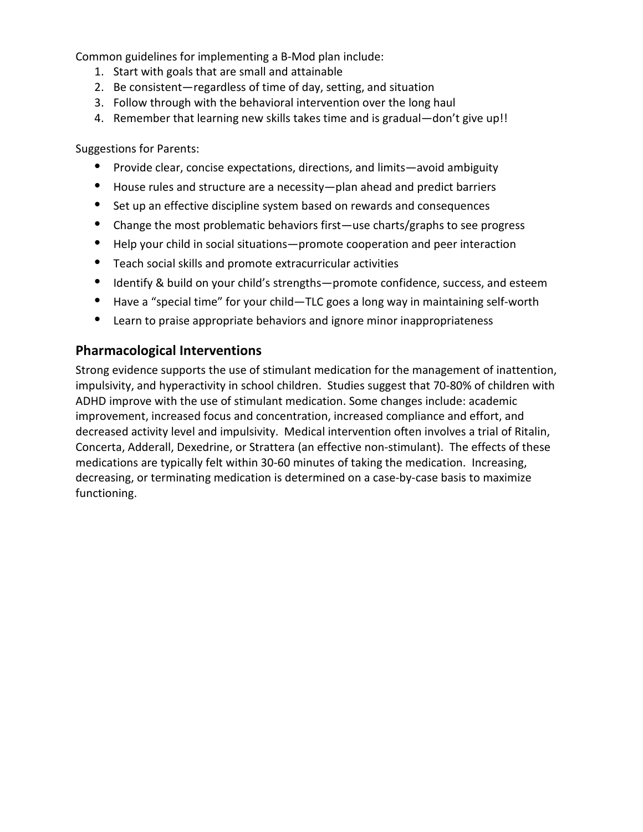Common guidelines for implementing a B-Mod plan include:

- 1. Start with goals that are small and attainable
- 2. Be consistent—regardless of time of day, setting, and situation
- 3. Follow through with the behavioral intervention over the long haul
- 4. Remember that learning new skills takes time and is gradual—don't give up!!

Suggestions for Parents:

- Provide clear, concise expectations, directions, and limits—avoid ambiguity
- House rules and structure are a necessity—plan ahead and predict barriers
- Set up an effective discipline system based on rewards and consequences
- Change the most problematic behaviors first—use charts/graphs to see progress
- Help your child in social situations—promote cooperation and peer interaction
- Teach social skills and promote extracurricular activities
- Identify & build on your child's strengths—promote confidence, success, and esteem
- Have a "special time" for your child—TLC goes a long way in maintaining self-worth
- Learn to praise appropriate behaviors and ignore minor inappropriateness

#### **Pharmacological Interventions**

Strong evidence supports the use of stimulant medication for the management of inattention, impulsivity, and hyperactivity in school children. Studies suggest that 70-80% of children with ADHD improve with the use of stimulant medication. Some changes include: academic improvement, increased focus and concentration, increased compliance and effort, and decreased activity level and impulsivity. Medical intervention often involves a trial of Ritalin, Concerta, Adderall, Dexedrine, or Strattera (an effective non-stimulant). The effects of these medications are typically felt within 30-60 minutes of taking the medication. Increasing, decreasing, or terminating medication is determined on a case-by-case basis to maximize functioning.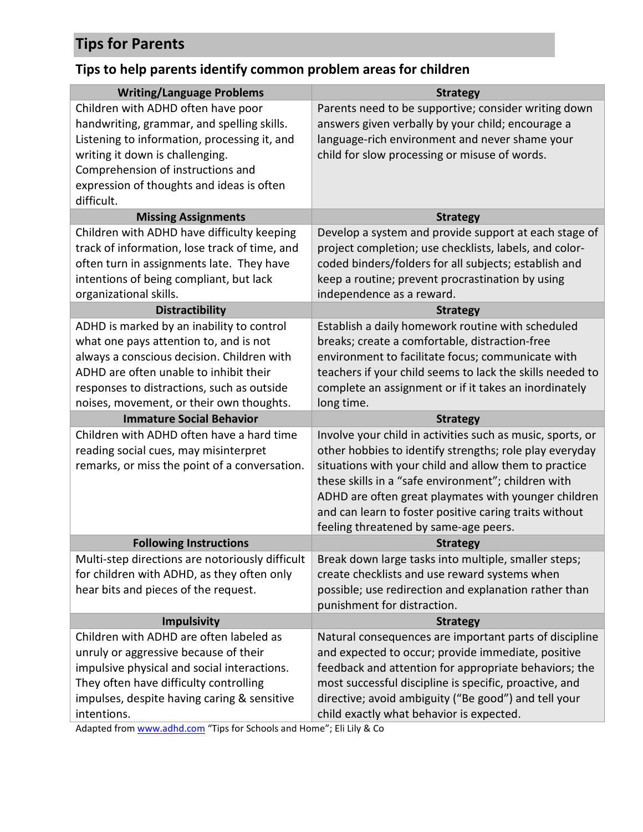# **Tips for Parents**

# **Tips to help parents identify common problem areas for children**

| <b>Writing/Language Problems</b>                | <b>Strategy</b>                                            |
|-------------------------------------------------|------------------------------------------------------------|
| Children with ADHD often have poor              | Parents need to be supportive; consider writing down       |
| handwriting, grammar, and spelling skills.      | answers given verbally by your child; encourage a          |
| Listening to information, processing it, and    | language-rich environment and never shame your             |
| writing it down is challenging.                 | child for slow processing or misuse of words.              |
| Comprehension of instructions and               |                                                            |
| expression of thoughts and ideas is often       |                                                            |
| difficult.                                      |                                                            |
| <b>Missing Assignments</b>                      | <b>Strategy</b>                                            |
| Children with ADHD have difficulty keeping      | Develop a system and provide support at each stage of      |
| track of information, lose track of time, and   | project completion; use checklists, labels, and color-     |
| often turn in assignments late. They have       | coded binders/folders for all subjects; establish and      |
| intentions of being compliant, but lack         | keep a routine; prevent procrastination by using           |
| organizational skills.                          | independence as a reward.                                  |
| <b>Distractibility</b>                          | <b>Strategy</b>                                            |
| ADHD is marked by an inability to control       | Establish a daily homework routine with scheduled          |
| what one pays attention to, and is not          | breaks; create a comfortable, distraction-free             |
| always a conscious decision. Children with      | environment to facilitate focus; communicate with          |
| ADHD are often unable to inhibit their          | teachers if your child seems to lack the skills needed to  |
| responses to distractions, such as outside      | complete an assignment or if it takes an inordinately      |
| noises, movement, or their own thoughts.        | long time.                                                 |
| <b>Immature Social Behavior</b>                 | <b>Strategy</b>                                            |
| Children with ADHD often have a hard time       | Involve your child in activities such as music, sports, or |
| reading social cues, may misinterpret           | other hobbies to identify strengths; role play everyday    |
| remarks, or miss the point of a conversation.   | situations with your child and allow them to practice      |
|                                                 | these skills in a "safe environment"; children with        |
|                                                 | ADHD are often great playmates with younger children       |
|                                                 | and can learn to foster positive caring traits without     |
|                                                 | feeling threatened by same-age peers.                      |
| <b>Following Instructions</b>                   | <b>Strategy</b>                                            |
| Multi-step directions are notoriously difficult | Break down large tasks into multiple, smaller steps;       |
| for children with ADHD, as they often only      | create checklists and use reward systems when              |
| hear bits and pieces of the request.            | possible; use redirection and explanation rather than      |
|                                                 | punishment for distraction.                                |
| <b>Impulsivity</b>                              | <b>Strategy</b>                                            |
| Children with ADHD are often labeled as         | Natural consequences are important parts of discipline     |
| unruly or aggressive because of their           | and expected to occur; provide immediate, positive         |
| impulsive physical and social interactions.     | feedback and attention for appropriate behaviors; the      |
| They often have difficulty controlling          | most successful discipline is specific, proactive, and     |
| impulses, despite having caring & sensitive     | directive; avoid ambiguity ("Be good") and tell your       |
| intentions.                                     | child exactly what behavior is expected.                   |

Adapted from www.adhd.com "Tips for Schools and Home"; Eli Lily & Co